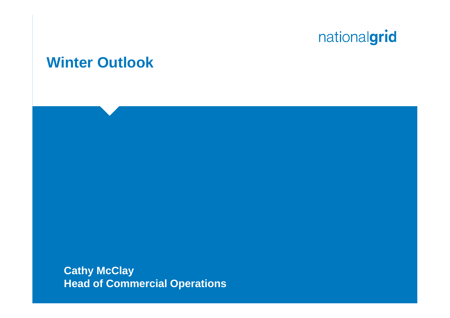### **Winter Outlook**

**Cathy McClay Head of Commercial Operations**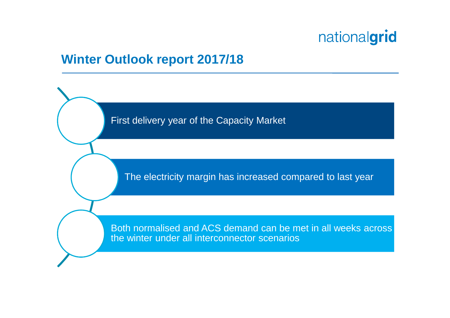### **Winter Outlook report 2017/18**

First delivery year of the Capacity Market

The electricity margin has increased compared to last year

Both normalised and ACS demand can be met in all weeks across the winter under all interconnector scenarios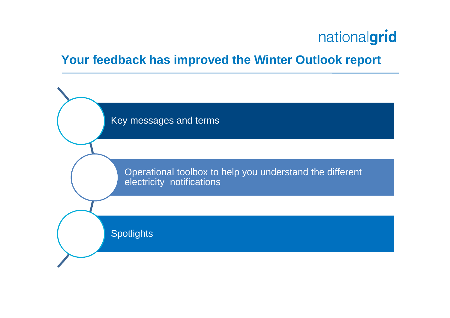### **Your feedback has improved the Winter Outlook report**

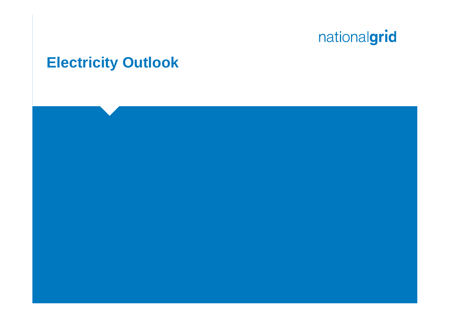### **Electricity Outlook**

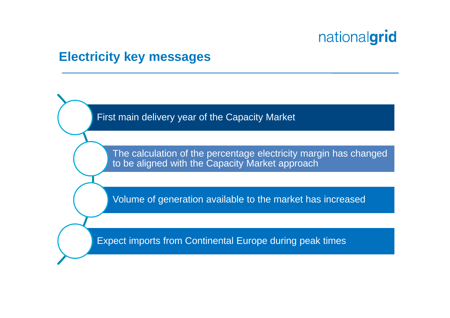#### **Electricity key messages**

First main delivery year of the Capacity Market

The calculation of the percentage electricity margin has changed to be aligned with the Capacity Market approach

Volume of generation available to the market has increased

Expect imports from Continental Europe during peak times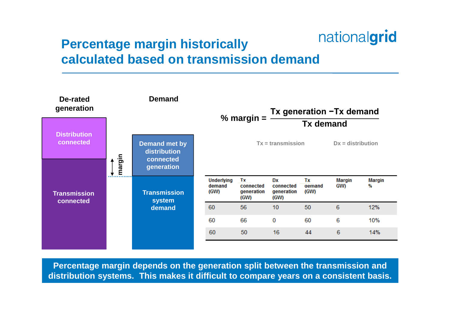### **Percentage margin historically calculated based on transmission demand**



**Percentage margin depends on the generation split between the transmission and distribution systems. This makes it difficult to compare years on a consistent basis.**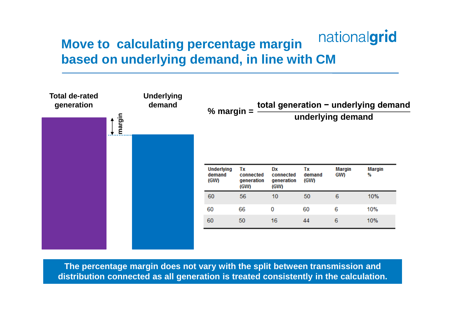#### nationalgrid **Move to calculating percentage margin based on underlying demand, in line with CM**



**The percentage margin does not vary with the split between transmission and distribution connected as all generation is treated consistently in the calculation.**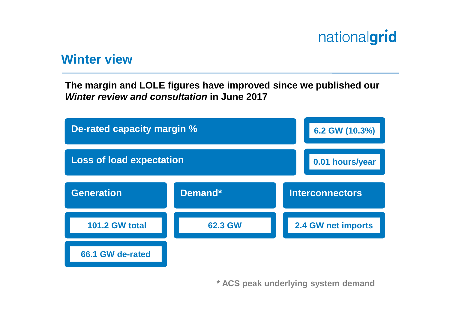#### **Winter view**

**The margin and LOLE figures have improved since we published our** *Winter review and consultation* **in June 2017**



**\* ACS peak underlying system demand**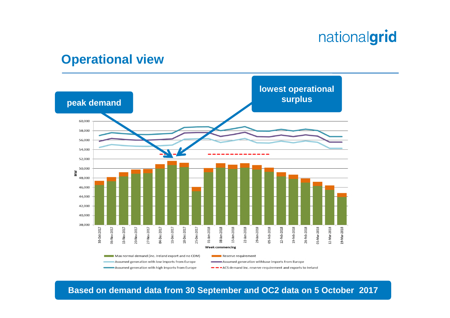#### **Operational view**

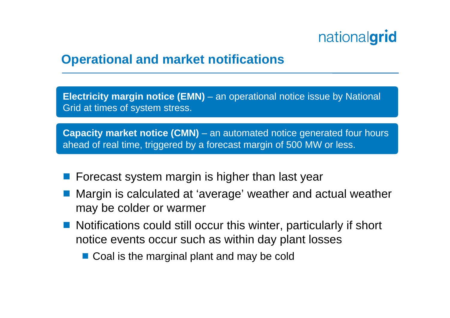### **Operational and market notifications**

**Electricity margin notice (EMN)** – an operational notice issue by National Grid at times of system stress.

**Capacity market notice (CMN)** – an automated notice generated four hours ahead of real time, triggered by a forecast margin of 500 MW or less.

- **F** Forecast system margin is higher than last year
- Margin is calculated at 'average' weather and actual weather may be colder or warmer
- Notifications could still occur this winter, particularly if short notice events occur such as within day plant losses
	- Coal is the marginal plant and may be cold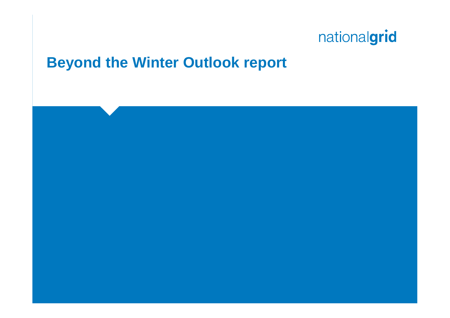### **Beyond the Winter Outlook report**